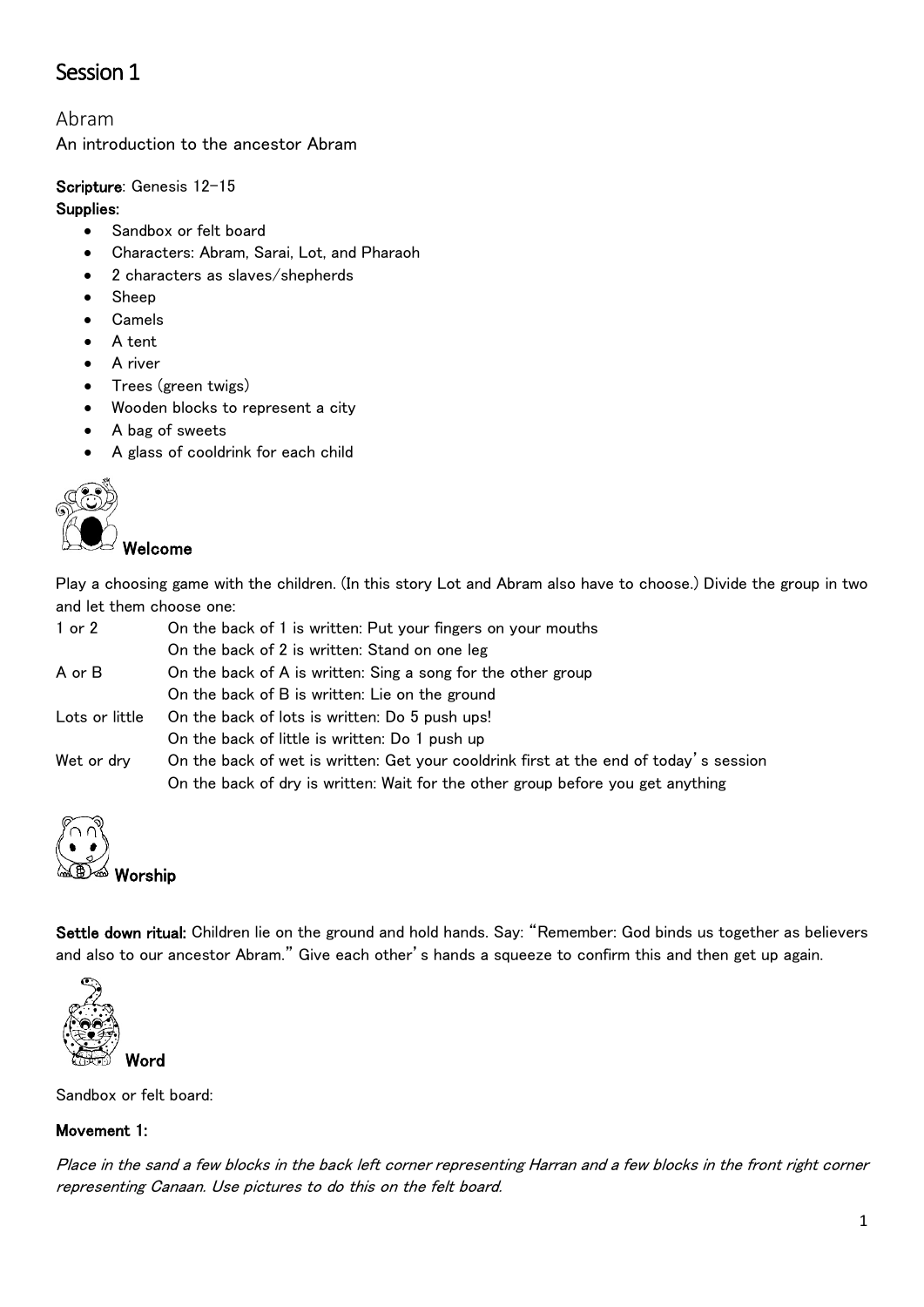# Session 1

## Abram

An introduction to the ancestor Abram

## Scripture: Genesis 12-15

#### Supplies:

- Sandbox or felt board
- Characters: Abram, Sarai, Lot, and Pharaoh
- 2 characters as slaves/shepherds
- Sheep
- Camels
- A tent
- A river
- Trees (green twigs)
- Wooden blocks to represent a city
- A bag of sweets
- A glass of cooldrink for each child



### Welcome

Play a choosing game with the children. (In this story Lot and Abram also have to choose.) Divide the group in two and let them choose one:

| 1 or 2         | On the back of 1 is written: Put your fingers on your mouths                          |
|----------------|---------------------------------------------------------------------------------------|
|                | On the back of 2 is written: Stand on one leg                                         |
| A or B         | On the back of A is written: Sing a song for the other group                          |
|                | On the back of B is written: Lie on the ground                                        |
| Lots or little | On the back of lots is written: Do 5 push ups!                                        |
|                | On the back of little is written: Do 1 push up                                        |
| Wet or dry     | On the back of wet is written: Get your cooldrink first at the end of today's session |
|                | On the back of dry is written: Wait for the other group before you get anything       |



Settle down ritual: Children lie on the ground and hold hands. Say: "Remember: God binds us together as believers and also to our ancestor Abram." Give each other's hands a squeeze to confirm this and then get up again.



Sandbox or felt board:

## Movement 1:

Place in the sand a few blocks in the back left corner representing Harran and a few blocks in the front right corner representing Canaan. Use pictures to do this on the felt board.